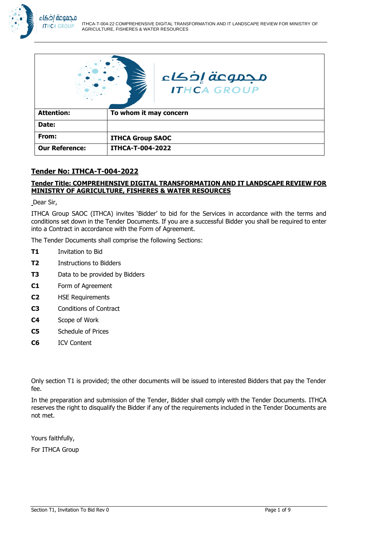

|                       | مجموعة إخكاء<br><b>ITHCA GROUP</b> |
|-----------------------|------------------------------------|
| <b>Attention:</b>     | To whom it may concern             |
| Date:                 |                                    |
| From:                 | <b>ITHCA Group SAOC</b>            |
| <b>Our Reference:</b> | <b>ITHCA-T-004-2022</b>            |

## **Tender No: ITHCA-T-004-2022**

### **Tender Title: COMPREHENSIVE DIGITAL TRANSFORMATION AND IT LANDSCAPE REVIEW FOR MINISTRY OF AGRICULTURE, FISHERES & WATER RESOURCES**

Dear Sir,

ITHCA Group SAOC (ITHCA) invites 'Bidder' to bid for the Services in accordance with the terms and conditions set down in the Tender Documents. If you are a successful Bidder you shall be required to enter into a Contract in accordance with the Form of Agreement.

The Tender Documents shall comprise the following Sections:

- **T1** Invitation to Bid
- **T2** Instructions to Bidders
- **T3** Data to be provided by Bidders
- **C1** Form of Agreement
- **C2** HSE Requirements
- **C3** Conditions of Contract
- **C4** Scope of Work
- **C5** Schedule of Prices
- **C6** ICV Content

Only section T1 is provided; the other documents will be issued to interested Bidders that pay the Tender fee.

In the preparation and submission of the Tender, Bidder shall comply with the Tender Documents. ITHCA reserves the right to disqualify the Bidder if any of the requirements included in the Tender Documents are not met.

Yours faithfully,

For ITHCA Group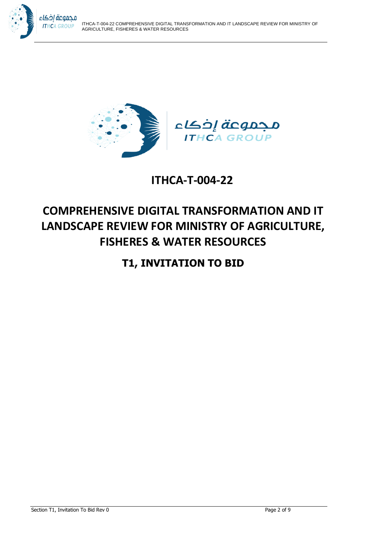



## **ITHCA-T-004-22**

# **COMPREHENSIVE DIGITAL TRANSFORMATION AND IT LANDSCAPE REVIEW FOR MINISTRY OF AGRICULTURE, FISHERES & WATER RESOURCES**

## **T1, INVITATION TO BID**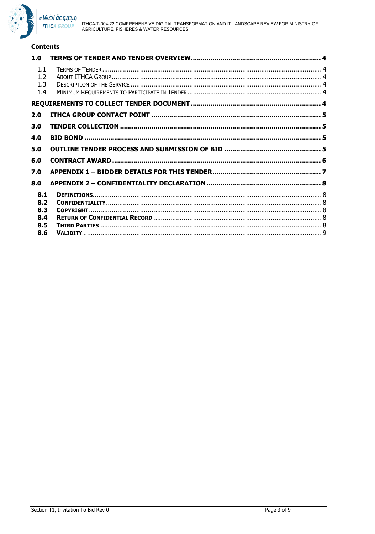

#### **Contents**

| 1.0                      |  |
|--------------------------|--|
| 1.1<br>1.2<br>1.3<br>1.4 |  |
|                          |  |
| 2.0                      |  |
| 3.0                      |  |
| 4.0                      |  |
| 5.0                      |  |
| 6.0                      |  |
| 7.0                      |  |
| 8.0                      |  |
| 8.1                      |  |
| 8.2                      |  |
| 8.3                      |  |
| 8.4                      |  |
| 8.5                      |  |
| 8.6                      |  |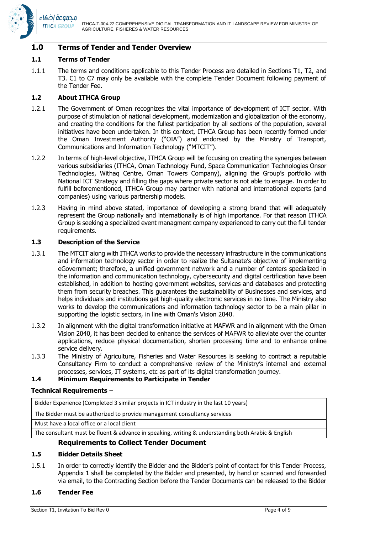

#### **1.0 Terms of Tender and Tender Overview**

#### **1.1 Terms of Tender**

1.1.1 The terms and conditions applicable to this Tender Process are detailed in Sections T1, T2, and T3. C1 to C7 may only be available with the complete Tender Document following payment of the Tender Fee.

#### **1.2 About ITHCA Group**

- 1.2.1 The Government of Oman recognizes the vital importance of development of ICT sector. With purpose of stimulation of national development, modernization and globalization of the economy, and creating the conditions for the fullest participation by all sections of the population, several initiatives have been undertaken. In this context, ITHCA Group has been recently formed under the Oman Investment Authority ("OIA") and endorsed by the Ministry of Transport, Communications and Information Technology ("MTCIT").
- 1.2.2 In terms of high-level objective, ITHCA Group will be focusing on creating the synergies between various subsidiaries (ITHCA, Oman Technology Fund, Space Communication Technologies Onsor Technologies, Withaq Centre, Oman Towers Company), aligning the Group's portfolio with National ICT Strategy and filling the gaps where private sector is not able to engage. In order to fulfill beforementioned, ITHCA Group may partner with national and international experts (and companies) using various partnership models.
- 1.2.3 Having in mind above stated, importance of developing a strong brand that will adequately represent the Group nationally and internationally is of high importance. For that reason ITHCA Group is seeking a specialized event managment company experienced to carry out the full tender requirements.

#### **1.3 Description of the Service**

- 1.3.1 The MTCIT along with ITHCA works to provide the necessary infrastructure in the communications and information technology sector in order to realize the Sultanate's objective of implementing eGovernment; therefore, a unified government network and a number of centers specialized in the information and communication technology, cybersecurity and digital certification have been established, in addition to hosting government websites, services and databases and protecting them from security breaches. This guarantees the sustainability of Businesses and services, and helps individuals and institutions get high-quality electronic services in no time. The Ministry also works to develop the communications and information technology sector to be a main pillar in supporting the logistic sectors, in line with Oman's Vision 2040.
- 1.3.2 In alignment with the digital transformation initiative at MAFWR and in alignment with the Oman Vision 2040, it has been decided to enhance the services of MAFWR to alleviate over the counter applications, reduce physical documentation, shorten processing time and to enhance online service delivery.
- 1.3.3 The Ministry of Agriculture, Fisheries and Water Resources is seeking to contract a reputable Consultancy Firm to conduct a comprehensive review of the Ministry's internal and external processes, services, IT systems, etc as part of its digital transformation journey.

#### **1.4 Minimum Requirements to Participate in Tender**

#### **Technical Requirements** –

| Bidder Experience (Completed 3 similar projects in ICT industry in the last 10 years)              |  |
|----------------------------------------------------------------------------------------------------|--|
| The Bidder must be authorized to provide management consultancy services                           |  |
| Must have a local office or a local client                                                         |  |
| The consultant must be fluent & advance in speaking, writing & understanding both Arabic & English |  |
| <b>Requirements to Collect Tender Document</b>                                                     |  |

#### **1.5 Bidder Details Sheet**

1.5.1 In order to correctly identify the Bidder and the Bidder's point of contact for this Tender Process, Appendix 1 shall be completed by the Bidder and presented, by hand or scanned and forwarded via email, to the Contracting Section before the Tender Documents can be released to the Bidder

#### **1.6 Tender Fee**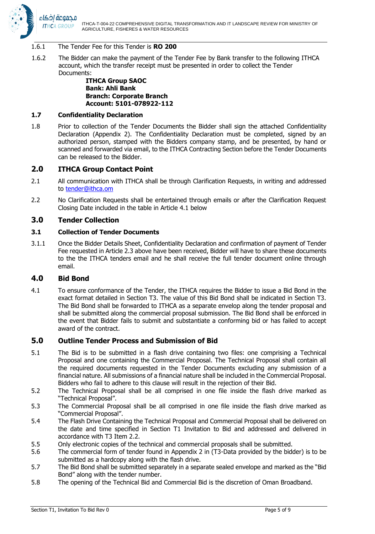

#### 1.6.1 The Tender Fee for this Tender is **RO 200**

1.6.2 The Bidder can make the payment of the Tender Fee by Bank transfer to the following ITHCA account, which the transfer receipt must be presented in order to collect the Tender Documents:

#### **ITHCA Group SAOC Bank: Ahli Bank Branch: Corporate Branch Account: 5101-078922-112**

#### **1.7 Confidentiality Declaration**

1.8 Prior to collection of the Tender Documents the Bidder shall sign the attached Confidentiality Declaration (Appendix 2). The Confidentiality Declaration must be completed, signed by an authorized person, stamped with the Bidders company stamp, and be presented, by hand or scanned and forwarded via email, to the ITHCA Contracting Section before the Tender Documents can be released to the Bidder.

#### **2.0 ITHCA Group Contact Point**

- 2.1 All communication with ITHCA shall be through Clarification Requests, in writing and addressed to [tender@ithca.om](mailto:tender@ithca.om)
- 2.2 No Clarification Requests shall be entertained through emails or after the Clarification Request Closing Date included in the table in Article [4.1 below](#page-4-0)

### **3.0 Tender Collection**

#### **3.1 Collection of Tender Documents**

3.1.1 Once the Bidder Details Sheet, Confidentiality Declaration and confirmation of payment of Tender Fee requested in Article 2.3 above have been received, Bidder will have to share these documents to the the ITHCA tenders email and he shall receive the full tender document online through email.

#### **4.0 Bid Bond**

<span id="page-4-0"></span>4.1 To ensure conformance of the Tender, the ITHCA requires the Bidder to issue a Bid Bond in the exact format detailed in Section T3. The value of this Bid Bond shall be indicated in Section T3. The Bid Bond shall be forwarded to ITHCA as a separate envelop along the tender proposal and shall be submitted along the commercial proposal submission. The Bid Bond shall be enforced in the event that Bidder fails to submit and substantiate a conforming bid or has failed to accept award of the contract.

#### **5.0 Outline Tender Process and Submission of Bid**

- 5.1 The Bid is to be submitted in a flash drive containing two files: one comprising a Technical Proposal and one containing the Commercial Proposal. The Technical Proposal shall contain all the required documents requested in the Tender Documents excluding any submission of a financial nature. All submissions of a financial nature shall be included in the Commercial Proposal. Bidders who fail to adhere to this clause will result in the rejection of their Bid.
- 5.2 The Technical Proposal shall be all comprised in one file inside the flash drive marked as "Technical Proposal".
- 5.3 The Commercial Proposal shall be all comprised in one file inside the flash drive marked as "Commercial Proposal".
- 5.4 The Flash Drive Containing the Technical Proposal and Commercial Proposal shall be delivered on the date and time specified in Section T1 Invitation to Bid and addressed and delivered in accordance with T3 Item 2.2.
- 5.5 Only electronic copies of the technical and commercial proposals shall be submitted.
- 5.6 The commercial form of tender found in Appendix 2 in (T3-Data provided by the bidder) is to be submitted as a hardcopy along with the flash drive.
- 5.7 The Bid Bond shall be submitted separately in a separate sealed envelope and marked as the "Bid Bond" along with the tender number.
- 5.8 The opening of the Technical Bid and Commercial Bid is the discretion of Oman Broadband.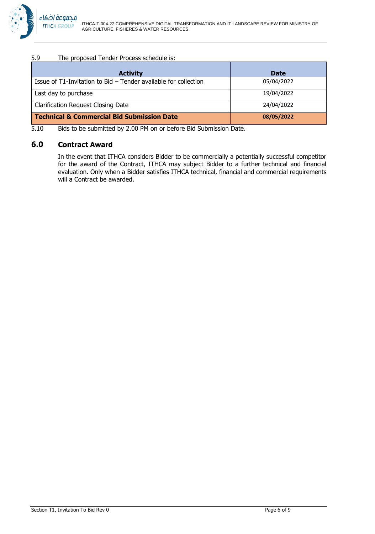#### 5.9 The proposed Tender Process schedule is:

| <b>Activity</b>                                                      | <b>Date</b> |
|----------------------------------------------------------------------|-------------|
| Issue of $T1$ -Invitation to Bid $-$ Tender available for collection | 05/04/2022  |
| Last day to purchase                                                 | 19/04/2022  |
| <b>Clarification Request Closing Date</b>                            | 24/04/2022  |
| Technical & Commercial Bid Submission Date                           | 08/05/2022  |

5.10 Bids to be submitted by 2.00 PM on or before Bid Submission Date.

## **6.0 Contract Award**

In the event that ITHCA considers Bidder to be commercially a potentially successful competitor for the award of the Contract, ITHCA may subject Bidder to a further technical and financial evaluation. Only when a Bidder satisfies ITHCA technical, financial and commercial requirements will a Contract be awarded.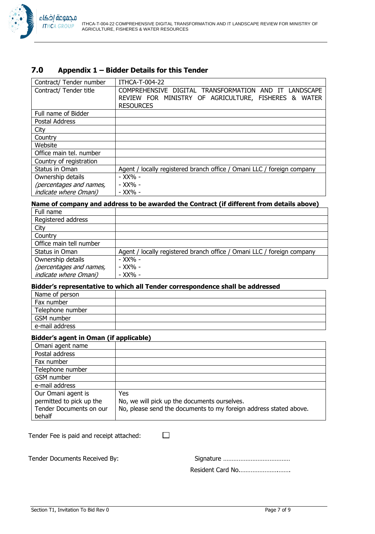## **7.0 Appendix 1 – Bidder Details for this Tender**

| Contract/ Tender number      | ITHCA-T-004-22                                                         |
|------------------------------|------------------------------------------------------------------------|
| Contract/ Tender title       | COMPREHENSIVE DIGITAL TRANSFORMATION<br><b>LANDSCAPE</b><br>AND IT     |
|                              | REVIEW FOR MINISTRY OF AGRICULTURE, FISHERES &<br><b>WATER</b>         |
|                              | <b>RESOURCES</b>                                                       |
| Full name of Bidder          |                                                                        |
| Postal Address               |                                                                        |
| City                         |                                                                        |
| Country                      |                                                                        |
| Website                      |                                                                        |
| Office main tel. number      |                                                                        |
| Country of registration      |                                                                        |
| Status in Oman               | Agent / locally registered branch office / Omani LLC / foreign company |
| Ownership details            | - XX% -                                                                |
| (percentages and names,      | - XX% -                                                                |
| <i>indicate where Omani)</i> | - XX% -                                                                |

## **Name of company and address to be awarded the Contract (if different from details above)**

| Full name                     |                                                                        |
|-------------------------------|------------------------------------------------------------------------|
| Registered address            |                                                                        |
| City                          |                                                                        |
| Country                       |                                                                        |
| Office main tell number       |                                                                        |
| Status in Oman                | Agent / locally registered branch office / Omani LLC / foreign company |
| Ownership details             | - XX% -                                                                |
| (percentages and names,       | - XX% -                                                                |
| <i>indicate where Omani</i> ) | - XX% -                                                                |

#### **Bidder's representative to which all Tender correspondence shall be addressed**

| Name of person   |  |
|------------------|--|
| Fax number       |  |
| Telephone number |  |
| GSM number       |  |
| e-mail address   |  |

#### **Bidder's agent in Oman (if applicable)**

| Omani agent name         |                                                                   |
|--------------------------|-------------------------------------------------------------------|
| Postal address           |                                                                   |
| Fax number               |                                                                   |
| Telephone number         |                                                                   |
| GSM number               |                                                                   |
| e-mail address           |                                                                   |
| Our Omani agent is       | Yes                                                               |
| permitted to pick up the | No, we will pick up the documents ourselves.                      |
| Tender Documents on our  | No, please send the documents to my foreign address stated above. |
| behalf                   |                                                                   |

 $\Box$ 

Tender Fee is paid and receipt attached:

Tender Documents Received By: Signature …………………………………

Resident Card No.………………….…….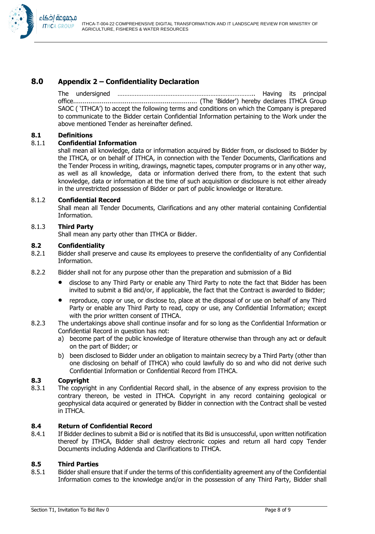

## **8.0 Appendix 2 – Confidentiality Declaration**

The undersigned …………………………………………………………………….. Having its principal office................................................................. (The 'Bidder') hereby declares ITHCA Group SAOC ( 'ITHCA') to accept the following terms and conditions on which the Company is prepared to communicate to the Bidder certain Confidential Information pertaining to the Work under the above mentioned Tender as hereinafter defined.

#### **8.1 Definitions**

#### 8.1.1 **Confidential Information**

shall mean all knowledge, data or information acquired by Bidder from, or disclosed to Bidder by the ITHCA, or on behalf of ITHCA, in connection with the Tender Documents, Clarifications and the Tender Process in writing, drawings, magnetic tapes, computer programs or in any other way, as well as all knowledge, data or information derived there from, to the extent that such knowledge, data or information at the time of such acquisition or disclosure is not either already in the unrestricted possession of Bidder or part of public knowledge or literature.

#### 8.1.2 **Confidential Record**

Shall mean all Tender Documents, Clarifications and any other material containing Confidential Information.

#### 8.1.3 **Third Party**

Shall mean any party other than ITHCA or Bidder.

#### **8.2 Confidentiality**

8.2.1 Bidder shall preserve and cause its employees to preserve the confidentiality of any Confidential Information.

- 8.2.2 Bidder shall not for any purpose other than the preparation and submission of a Bid
	- disclose to any Third Party or enable any Third Party to note the fact that Bidder has been invited to submit a Bid and/or, if applicable, the fact that the Contract is awarded to Bidder;
	- reproduce, copy or use, or disclose to, place at the disposal of or use on behalf of any Third Party or enable any Third Party to read, copy or use, any Confidential Information; except with the prior written consent of ITHCA.
- 8.2.3 The undertakings above shall continue insofar and for so long as the Confidential Information or Confidential Record in question has not:
	- a) become part of the public knowledge of literature otherwise than through any act or default on the part of Bidder; or
	- b) been disclosed to Bidder under an obligation to maintain secrecy by a Third Party (other than one disclosing on behalf of ITHCA) who could lawfully do so and who did not derive such Confidential Information or Confidential Record from ITHCA.

#### **8.3 Copyright**

8.3.1 The copyright in any Confidential Record shall, in the absence of any express provision to the contrary thereon, be vested in ITHCA. Copyright in any record containing geological or geophysical data acquired or generated by Bidder in connection with the Contract shall be vested in ITHCA.

#### **8.4 Return of Confidential Record**

8.4.1 If Bidder declines to submit a Bid or is notified that its Bid is unsuccessful, upon written notification thereof by ITHCA, Bidder shall destroy electronic copies and return all hard copy Tender Documents including Addenda and Clarifications to ITHCA.

#### **8.5 Third Parties**

8.5.1 Bidder shall ensure that if under the terms of this confidentiality agreement any of the Confidential Information comes to the knowledge and/or in the possession of any Third Party, Bidder shall